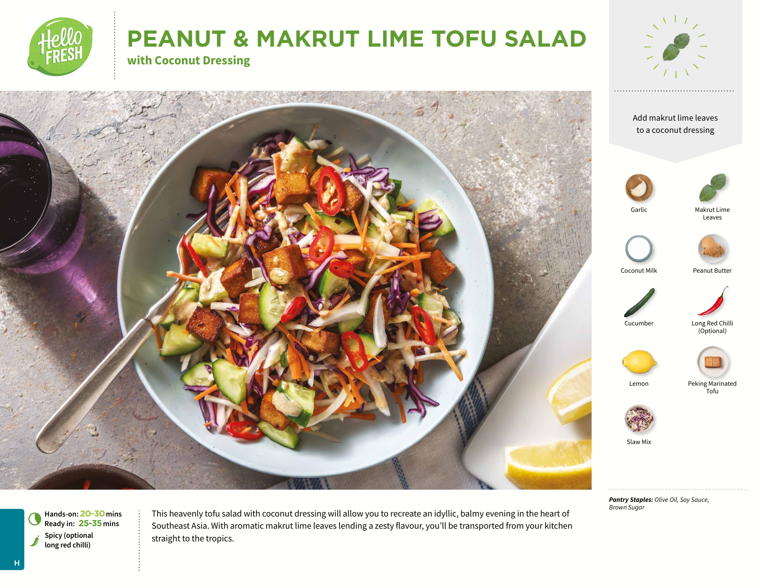

# **PEANUT & MAKRUT LIME TOFU SALAD**

**with Coconut Dressing**



Add makrut lime leaves to a coconut dressing





Garlic





Coconut Milk Peanut Butter



Long Red Chilli (Optional)



Lemon Peking Marinated Tofu



Slaw Mix

*Pantry Staples: Olive Oil, Soy Sauce, Brown Sugar*

s**Spicy (optional long red chilli) Hands-on: 20-30** mins<br>Ready in: 25-35 mins This heavenly tofu salad with coconut dressing will allow you to recreate an idyllic, balmy evening in the heart of Southeast Asia. With aromatic makrut lime leaves lending a zesty flavour, you'll be transported from your kitchen straight to the tropics.

H